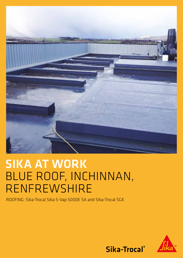

# SIKA AT WORK BLUE ROOF, INCHINNAN, RENFREWSHIRE

ROOFING: Sika-Trocal Sika S-Vap 5000E SA and Sika-Trocal SGK



Sika-Trocal®